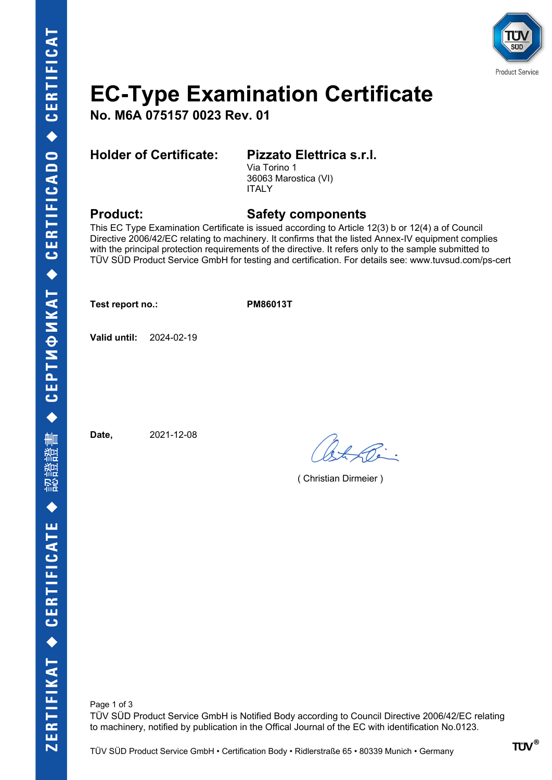

# **EC-Type Examination Certificate**

**No. M6A 075157 0023 Rev. 01**

## **Holder of Certificate: Pizzato Elettrica s.r.l.**

Via Torino 1 36063 Marostica (VI) ITALY

## **Product: Safety components**

This EC Type Examination Certificate is issued according to Article 12(3) b or 12(4) a of Council Directive 2006/42/EC relating to machinery. It confirms that the listed Annex-IV equipment complies with the principal protection requirements of the directive. It refers only to the sample submitted to TÜV SÜD Product Service GmbH for testing and certification. For details see: www.tuvsud.com/ps-cert

**Test report no.: PM86013T**

**Valid until:** 2024-02-19

**Date,** 2021-12-08

( Christian Dirmeier )

Page 1 of 3 TÜV SÜD Product Service GmbH is Notified Body according to Council Directive 2006/42/EC relating to machinery, notified by publication in the Offical Journal of the EC with identification No.0123.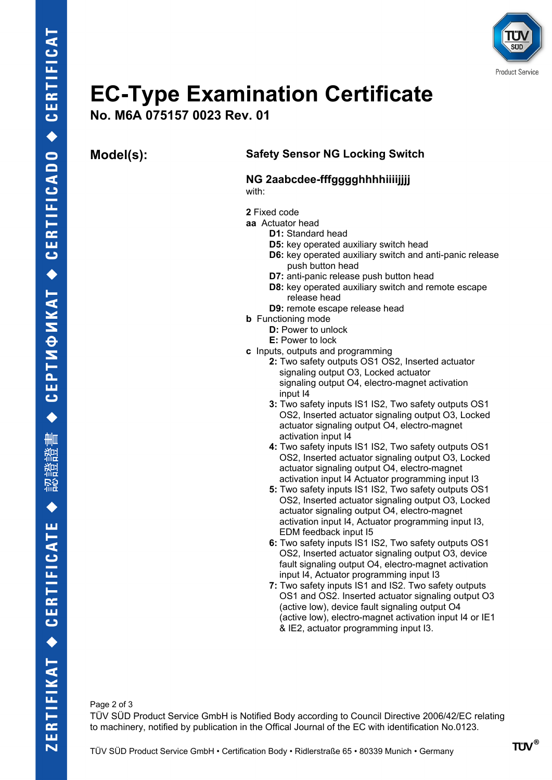

# **EC-Type Examination Certificate**

**No. M6A 075157 0023 Rev. 01**

## **Model(s): Safety Sensor NG Locking Switch**

### **NG 2aabcdee-fffgggghhhhiiiijjjj** with:

**2** Fixed code

- **aa** Actuator head
	- **D1:** Standard head
	- **D5:** key operated auxiliary switch head
	- **D6:** key operated auxiliary switch and anti-panic release push button head
	- **D7:** anti-panic release push button head
	- **D8:** key operated auxiliary switch and remote escape release head
	- **D9:** remote escape release head
- **b** Functioning mode
	- **D:** Power to unlock
	- **E:** Power to lock
- **c** Inputs, outputs and programming
	- **2:** Two safety outputs OS1 OS2, Inserted actuator signaling output O3, Locked actuator signaling output O4, electro-magnet activation input I4
		- **3:** Two safety inputs IS1 IS2, Two safety outputs OS1 OS2, Inserted actuator signaling output O3, Locked actuator signaling output O4, electro-magnet activation input I4
		- **4:** Two safety inputs IS1 IS2, Two safety outputs OS1 OS2, Inserted actuator signaling output O3, Locked actuator signaling output O4, electro-magnet activation input I4 Actuator programming input I3
		- **5:** Two safety inputs IS1 IS2, Two safety outputs OS1 OS2, Inserted actuator signaling output O3, Locked actuator signaling output O4, electro-magnet activation input I4, Actuator programming input I3, EDM feedback input I5
		- **6:** Two safety inputs IS1 IS2, Two safety outputs OS1 OS2, Inserted actuator signaling output O3, device fault signaling output O4, electro-magnet activation input I4, Actuator programming input I3
		- **7:** Two safety inputs IS1 and IS2. Two safety outputs OS1 and OS2. Inserted actuator signaling output O3 (active low), device fault signaling output O4 (active low), electro-magnet activation input I4 or IE1 & IE2, actuator programming input I3.

Page 2 of 3 TÜV SÜD Product Service GmbH is Notified Body according to Council Directive 2006/42/EC relating to machinery, notified by publication in the Offical Journal of the EC with identification No.0123.